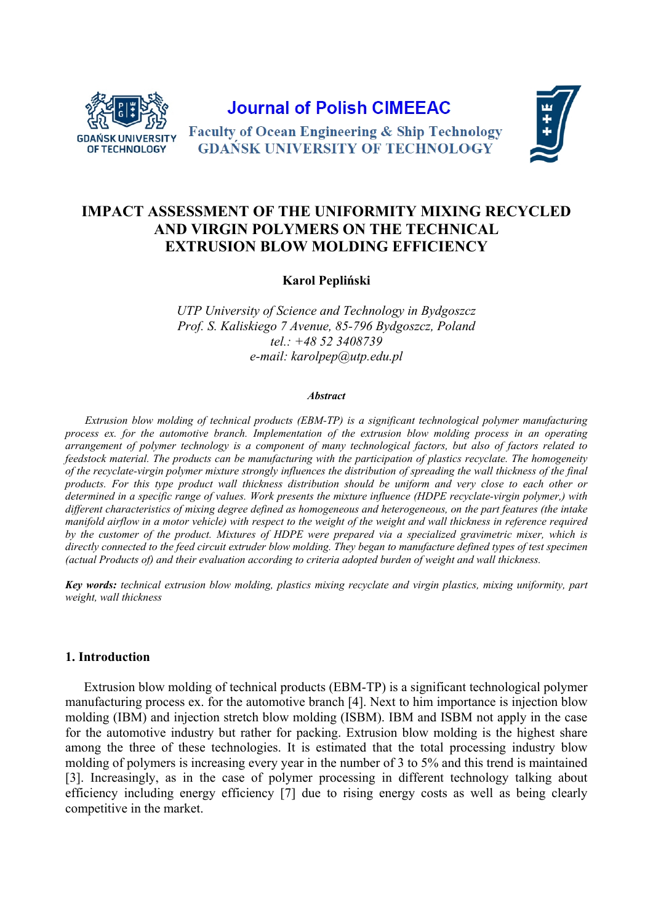

**Journal of Polish CIMEEAC** 



**Faculty of Ocean Engineering & Ship Technology GDAŃSK UNIVERSITY OF TECHNOLOGY** 

# **IMPACT ASSESSMENT OF THE UNIFORMITY MIXING RECYCLED AND VIRGIN POLYMERS ON THE TECHNICAL EXTRUSION BLOW MOLDING EFFICIENCY**

**Karol Pepliński** 

*UTP University of Science and Technology in Bydgoszcz Prof. S. Kaliskiego 7 Avenue, 85-796 Bydgoszcz, Poland tel.: +48 52 3408739 e-mail: karolpep@utp.edu.pl* 

#### *Abstract*

*Extrusion blow molding of technical products (EBM-TP) is a significant technological polymer manufacturing process ex. for the automotive branch. Implementation of the extrusion blow molding process in an operating arrangement of polymer technology is a component of many technological factors, but also of factors related to feedstock material. The products can be manufacturing with the participation of plastics recyclate. The homogeneity of the recyclate-virgin polymer mixture strongly influences the distribution of spreading the wall thickness of the final products. For this type product wall thickness distribution should be uniform and very close to each other or determined in a specific range of values. Work presents the mixture influence (HDPE recyclate-virgin polymer,) with different characteristics of mixing degree defined as homogeneous and heterogeneous, on the part features (the intake manifold airflow in a motor vehicle) with respect to the weight of the weight and wall thickness in reference required by the customer of the product. Mixtures of HDPE were prepared via a specialized gravimetric mixer, which is directly connected to the feed circuit extruder blow molding. They began to manufacture defined types of test specimen (actual Products of) and their evaluation according to criteria adopted burden of weight and wall thickness.* 

*Key words: technical extrusion blow molding, plastics mixing recyclate and virgin plastics, mixing uniformity, part weight, wall thickness* 

## **1. Introduction**

Extrusion blow molding of technical products (EBM-TP) is a significant technological polymer manufacturing process ex. for the automotive branch [4]. Next to him importance is injection blow molding (IBM) and injection stretch blow molding (ISBM). IBM and ISBM not apply in the case for the automotive industry but rather for packing. Extrusion blow molding is the highest share among the three of these technologies. It is estimated that the total processing industry blow molding of polymers is increasing every year in the number of 3 to 5% and this trend is maintained [3]. Increasingly, as in the case of polymer processing in different technology talking about efficiency including energy efficiency [7] due to rising energy costs as well as being clearly competitive in the market.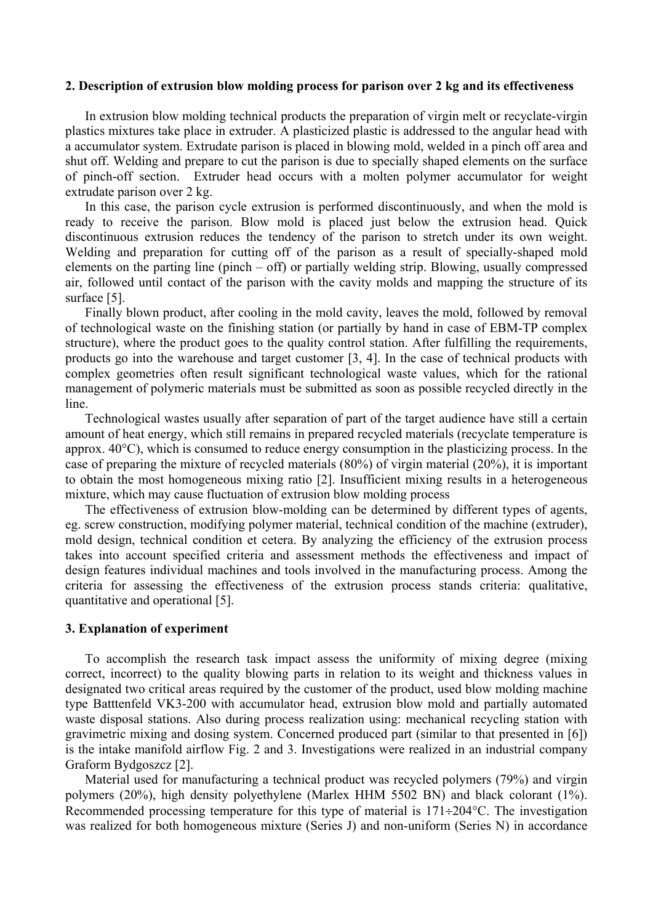#### **2. Description of extrusion blow molding process for parison over 2 kg and its effectiveness**

In extrusion blow molding technical products the preparation of virgin melt or recyclate-virgin plastics mixtures take place in extruder. A plasticized plastic is addressed to the angular head with a accumulator system. Extrudate parison is placed in blowing mold, welded in a pinch off area and shut off. Welding and prepare to cut the parison is due to specially shaped elements on the surface of pinch-off section. Extruder head occurs with a molten polymer accumulator for weight extrudate parison over 2 kg.

In this case, the parison cycle extrusion is performed discontinuously, and when the mold is ready to receive the parison. Blow mold is placed just below the extrusion head. Quick discontinuous extrusion reduces the tendency of the parison to stretch under its own weight. Welding and preparation for cutting off of the parison as a result of specially-shaped mold elements on the parting line (pinch – off) or partially welding strip. Blowing, usually compressed air, followed until contact of the parison with the cavity molds and mapping the structure of its surface [5].

Finally blown product, after cooling in the mold cavity, leaves the mold, followed by removal of technological waste on the finishing station (or partially by hand in case of EBM-TP complex structure), where the product goes to the quality control station. After fulfilling the requirements, products go into the warehouse and target customer [3, 4]. In the case of technical products with complex geometries often result significant technological waste values, which for the rational management of polymeric materials must be submitted as soon as possible recycled directly in the line.

Technological wastes usually after separation of part of the target audience have still a certain amount of heat energy, which still remains in prepared recycled materials (recyclate temperature is approx. 40°C), which is consumed to reduce energy consumption in the plasticizing process. In the case of preparing the mixture of recycled materials (80%) of virgin material (20%), it is important to obtain the most homogeneous mixing ratio [2]. Insufficient mixing results in a heterogeneous mixture, which may cause fluctuation of extrusion blow molding process

The effectiveness of extrusion blow-molding can be determined by different types of agents, eg. screw construction, modifying polymer material, technical condition of the machine (extruder), mold design, technical condition et cetera. By analyzing the efficiency of the extrusion process takes into account specified criteria and assessment methods the effectiveness and impact of design features individual machines and tools involved in the manufacturing process. Among the criteria for assessing the effectiveness of the extrusion process stands criteria: qualitative, quantitative and operational [5].

#### **3. Explanation of experiment**

To accomplish the research task impact assess the uniformity of mixing degree (mixing correct, incorrect) to the quality blowing parts in relation to its weight and thickness values in designated two critical areas required by the customer of the product, used blow molding machine type Batttenfeld VK3-200 with accumulator head, extrusion blow mold and partially automated waste disposal stations. Also during process realization using: mechanical recycling station with gravimetric mixing and dosing system. Concerned produced part (similar to that presented in [6]) is the intake manifold airflow Fig. 2 and 3. Investigations were realized in an industrial company Graform Bydgoszcz [2].

Material used for manufacturing a technical product was recycled polymers (79%) and virgin polymers (20%), high density polyethylene (Marlex HHM 5502 BN) and black colorant (1%). Recommended processing temperature for this type of material is  $171 \div 204$ °C. The investigation was realized for both homogeneous mixture (Series J) and non-uniform (Series N) in accordance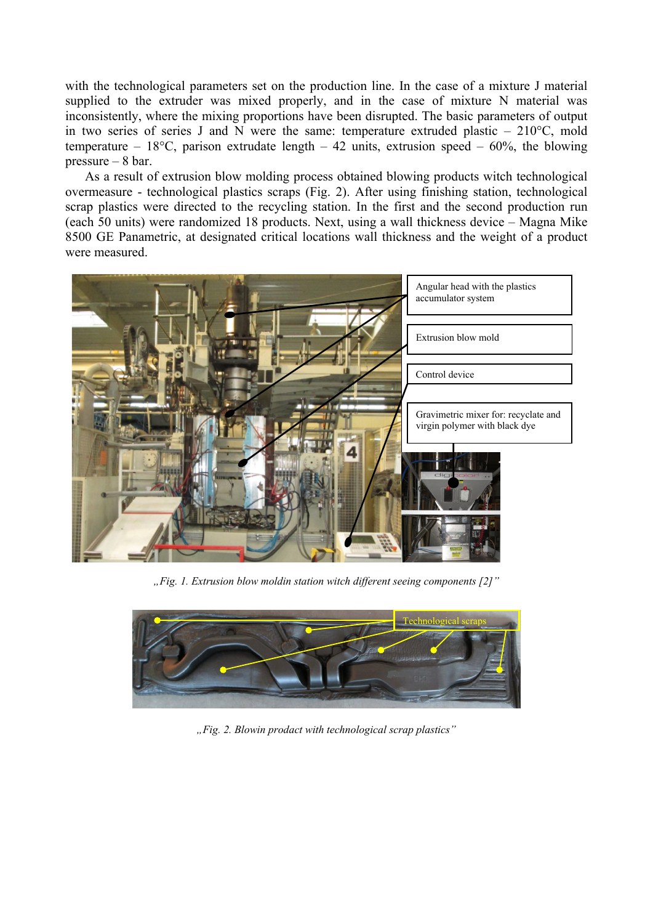with the technological parameters set on the production line. In the case of a mixture J material supplied to the extruder was mixed properly, and in the case of mixture N material was inconsistently, where the mixing proportions have been disrupted. The basic parameters of output in two series of series J and N were the same: temperature extruded plastic  $-210^{\circ}$ C, mold temperature – 18°C, parison extrudate length – 42 units, extrusion speed – 60%, the blowing pressure – 8 bar.

As a result of extrusion blow molding process obtained blowing products witch technological overmeasure - technological plastics scraps (Fig. 2). After using finishing station, technological scrap plastics were directed to the recycling station. In the first and the second production run (each 50 units) were randomized 18 products. Next, using a wall thickness device – Magna Mike 8500 GE Panametric, at designated critical locations wall thickness and the weight of a product were measured.



*"Fig. 1. Extrusion blow moldin station witch different seeing components [2]"* 



*"Fig. 2. Blowin prodact with technological scrap plastics"*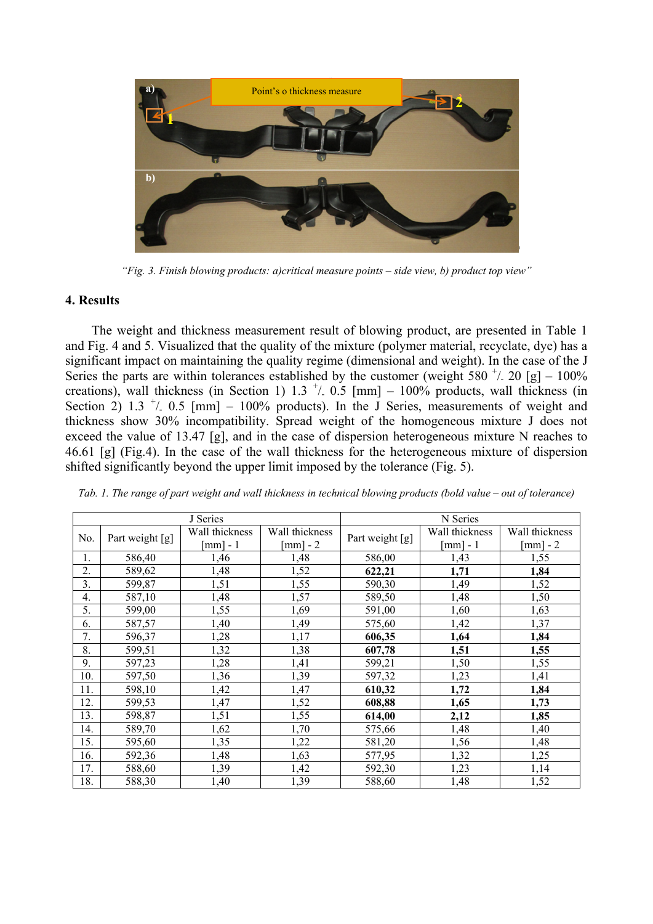

*"Fig. 3. Finish blowing products: a)critical measure points – side view, b) product top view"* 

## **4. Results**

The weight and thickness measurement result of blowing product, are presented in Table 1 and Fig. 4 and 5. Visualized that the quality of the mixture (polymer material, recyclate, dye) has a significant impact on maintaining the quality regime (dimensional and weight). In the case of the J Series the parts are within tolerances established by the customer (weight 580  $^+/$  20 [g] – 100% creations), wall thickness (in Section 1) 1.3  $^+/$  0.5 [mm] – 100% products, wall thickness (in Section 2) 1.3  $^+/$  0.5 [mm] - 100% products). In the J Series, measurements of weight and thickness show 30% incompatibility. Spread weight of the homogeneous mixture J does not exceed the value of 13.47 [g], and in the case of dispersion heterogeneous mixture N reaches to 46.61 [g] (Fig.4). In the case of the wall thickness for the heterogeneous mixture of dispersion shifted significantly beyond the upper limit imposed by the tolerance (Fig. 5).

| J Series |                 |                |                        | N Series        |                        |                |
|----------|-----------------|----------------|------------------------|-----------------|------------------------|----------------|
| No.      | Part weight [g] | Wall thickness | Wall thickness         | Part weight [g] | Wall thickness         | Wall thickness |
|          |                 | $[mm] - 1$     | $\lceil mm \rceil - 2$ |                 | $\lceil mm \rceil - 1$ | [mm] - $2$     |
| 1.       | 586,40          | 1,46           | 1,48                   | 586,00          | 1,43                   | 1,55           |
| 2.       | 589,62          | 1,48           | 1,52                   | 622,21          | 1,71                   | 1,84           |
| 3.       | 599,87          | 1,51           | 1,55                   | 590,30          | 1,49                   | 1,52           |
| 4.       | 587,10          | 1,48           | 1,57                   | 589,50          | 1,48                   | 1,50           |
| 5.       | 599,00          | 1,55           | 1,69                   | 591,00          | 1,60                   | 1,63           |
| 6.       | 587,57          | 1,40           | 1,49                   | 575,60          | 1,42                   | 1,37           |
| 7.       | 596,37          | 1,28           | 1,17                   | 606,35          | 1,64                   | 1,84           |
| 8.       | 599,51          | 1,32           | 1,38                   | 607,78          | 1,51                   | 1,55           |
| 9.       | 597,23          | 1,28           | 1,41                   | 599,21          | 1,50                   | 1,55           |
| 10.      | 597,50          | 1,36           | 1,39                   | 597,32          | 1,23                   | 1,41           |
| 11.      | 598,10          | 1,42           | 1,47                   | 610,32          | 1,72                   | 1,84           |
| 12.      | 599,53          | 1,47           | 1,52                   | 608,88          | 1,65                   | 1,73           |
| 13.      | 598,87          | 1,51           | 1,55                   | 614,00          | 2,12                   | 1,85           |
| 14.      | 589,70          | 1,62           | 1,70                   | 575,66          | 1,48                   | 1,40           |
| 15.      | 595,60          | 1,35           | 1,22                   | 581,20          | 1,56                   | 1,48           |
| 16.      | 592,36          | 1,48           | 1,63                   | 577,95          | 1,32                   | 1,25           |
| 17.      | 588,60          | 1,39           | 1,42                   | 592,30          | 1,23                   | 1,14           |
| 18.      | 588,30          | 1,40           | 1,39                   | 588,60          | 1,48                   | 1,52           |

*Tab. 1. The range of part weight and wall thickness in technical blowing products (bold value – out of tolerance)*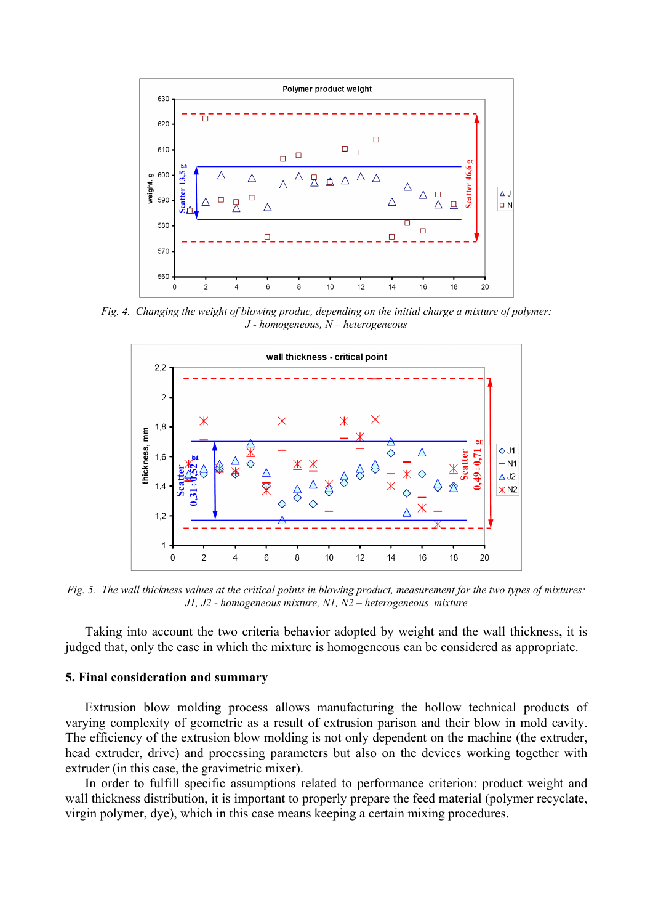

*Fig. 4. Changing the weight of blowing produc, depending on the initial charge a mixture of polymer: J - homogeneous, N – heterogeneous* 



*Fig. 5. The wall thickness values at the critical points in blowing product, measurement for the two types of mixtures: J1, J2 - homogeneous mixture, N1, N2 – heterogeneous mixture* 

Taking into account the two criteria behavior adopted by weight and the wall thickness, it is judged that, only the case in which the mixture is homogeneous can be considered as appropriate.

### **5. Final consideration and summary**

Extrusion blow molding process allows manufacturing the hollow technical products of varying complexity of geometric as a result of extrusion parison and their blow in mold cavity. The efficiency of the extrusion blow molding is not only dependent on the machine (the extruder, head extruder, drive) and processing parameters but also on the devices working together with extruder (in this case, the gravimetric mixer).

In order to fulfill specific assumptions related to performance criterion: product weight and wall thickness distribution, it is important to properly prepare the feed material (polymer recyclate, virgin polymer, dye), which in this case means keeping a certain mixing procedures.